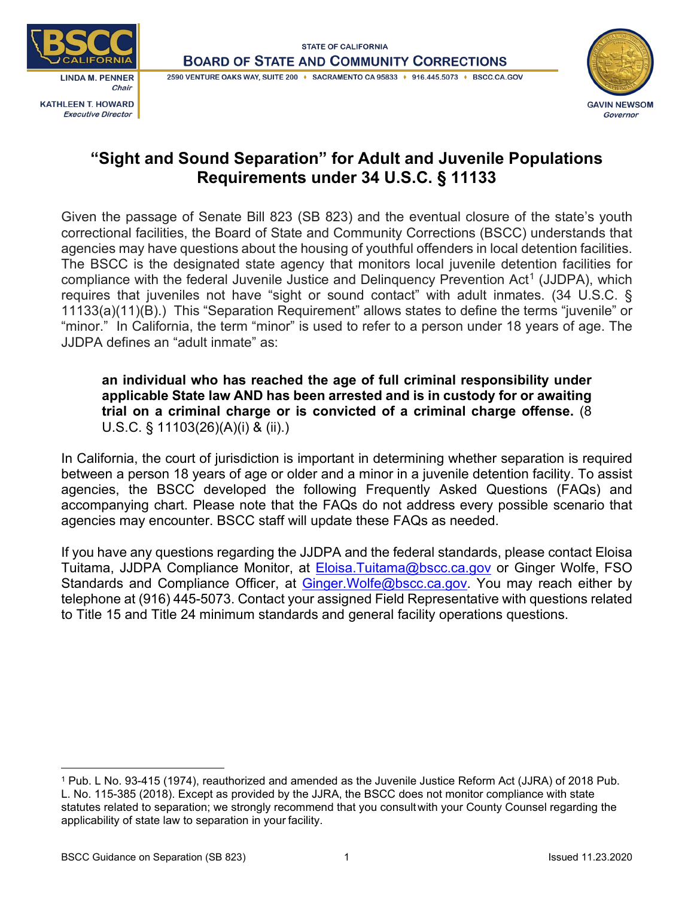



# **"Sight and Sound Separation" for Adult and Juvenile Populations Requirements under 34 U.S.C. § 11133**

Given the passage of Senate Bill 823 (SB 823) and the eventual closure of the state's youth correctional facilities, the Board of State and Community Corrections (BSCC) understands that agencies may have questions about the housing of youthful offenders in local detention facilities. The BSCC is the designated state agency that monitors local juvenile detention facilities for compliance with the federal Juvenile Justice and Delinguency Prevention Act<sup>[1](#page-0-0)</sup> (JJDPA), which requires that juveniles not have "sight or sound contact" with adult inmates. (34 U.S.C. § 11133(a)(11)(B).) This "Separation Requirement" allows states to define the terms "juvenile" or "minor." In California, the term "minor" is used to refer to a person under 18 years of age. The JJDPA defines an "adult inmate" as:

### **an individual who has reached the age of full criminal responsibility under applicable State law AND has been arrested and is in custody for or awaiting trial on a criminal charge or is convicted of a criminal charge offense.** (8 U.S.C. § 11103(26)(A)(i) & (ii).)

In California, the court of jurisdiction is important in determining whether separation is required between a person 18 years of age or older and a minor in a juvenile detention facility. To assist agencies, the BSCC developed the following Frequently Asked Questions (FAQs) and accompanying chart. Please note that the FAQs do not address every possible scenario that agencies may encounter. BSCC staff will update these FAQs as needed.

If you have any questions regarding the JJDPA and the federal standards, please contact Eloisa Tuitama, JJDPA Compliance Monitor, at [Eloisa.Tuitama@bscc.ca.gov](mailto:Eloisa.Tuitama@bscc.ca.gov) or Ginger Wolfe, FSO Standards and Compliance Officer, at Ginger. Wolfe@bscc.ca.gov. You may reach either by telephone at (916) 445-5073. Contact your assigned Field Representative with questions related to Title 15 and Title 24 minimum standards and general facility operations questions.

<span id="page-0-0"></span><sup>1</sup> Pub. L No. 93-415 (1974), reauthorized and amended as the Juvenile Justice Reform Act (JJRA) of 2018 Pub. L. No. 115-385 (2018). Except as provided by the JJRA, the BSCC does not monitor compliance with state statutes related to separation; we strongly recommend that you consultwith your County Counsel regarding the applicability of state law to separation in your facility.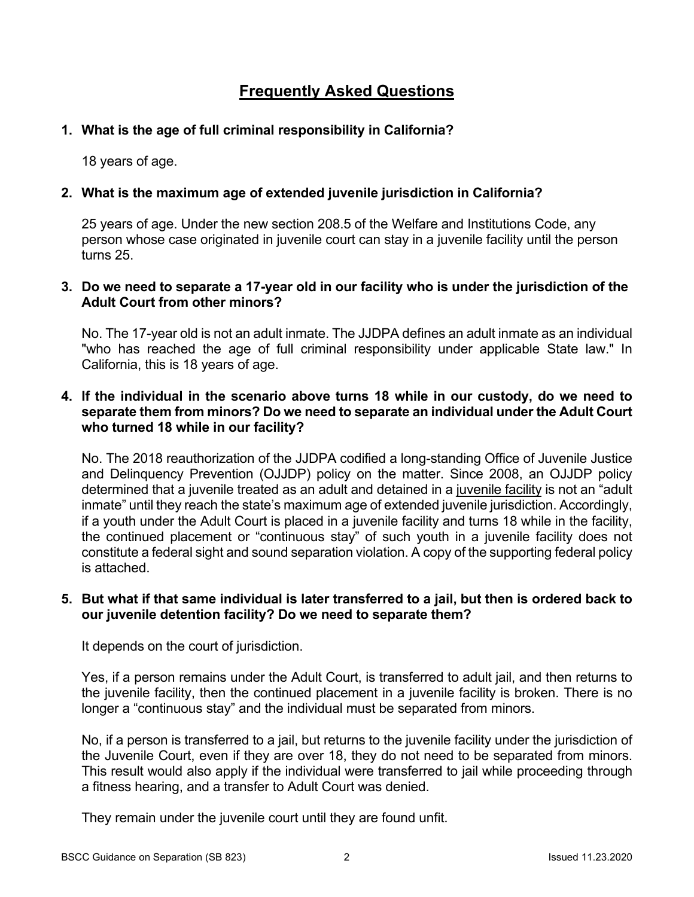## **Frequently Asked Questions**

## **1. What is the age of full criminal responsibility in California?**

18 years of age.

## **2. What is the maximum age of extended juvenile jurisdiction in California?**

25 years of age. Under the new section 208.5 of the Welfare and Institutions Code, any person whose case originated in juvenile court can stay in a juvenile facility until the person turns 25.

#### **3. Do we need to separate a 17-year old in our facility who is under the jurisdiction of the Adult Court from other minors?**

No. The 17-year old is not an adult inmate. The JJDPA defines an adult inmate as an individual "who has reached the age of full criminal responsibility under applicable State law." In California, this is 18 years of age.

#### **4. If the individual in the scenario above turns 18 while in our custody, do we need to separate them from minors? Do we need to separate an individual under the Adult Court who turned 18 while in our facility?**

No. The 2018 reauthorization of the JJDPA codified a long-standing Office of Juvenile Justice and Delinquency Prevention (OJJDP) policy on the matter. Since 2008, an OJJDP policy determined that a juvenile treated as an adult and detained in a juvenile facility is not an "adult inmate" until they reach the state's maximum age of extended juvenile jurisdiction. Accordingly, if a youth under the Adult Court is placed in a juvenile facility and turns 18 while in the facility, the continued placement or "continuous stay" of such youth in a juvenile facility does not constitute a federal sight and sound separation violation. A copy of the supporting federal policy is attached.

#### **5. But what if that same individual is later transferred to a jail, but then is ordered back to our juvenile detention facility? Do we need to separate them?**

It depends on the court of jurisdiction.

Yes, if a person remains under the Adult Court, is transferred to adult jail, and then returns to the juvenile facility, then the continued placement in a juvenile facility is broken. There is no longer a "continuous stay" and the individual must be separated from minors.

No, if a person is transferred to a jail, but returns to the juvenile facility under the jurisdiction of the Juvenile Court, even if they are over 18, they do not need to be separated from minors. This result would also apply if the individual were transferred to jail while proceeding through a fitness hearing, and a transfer to Adult Court was denied.

They remain under the juvenile court until they are found unfit.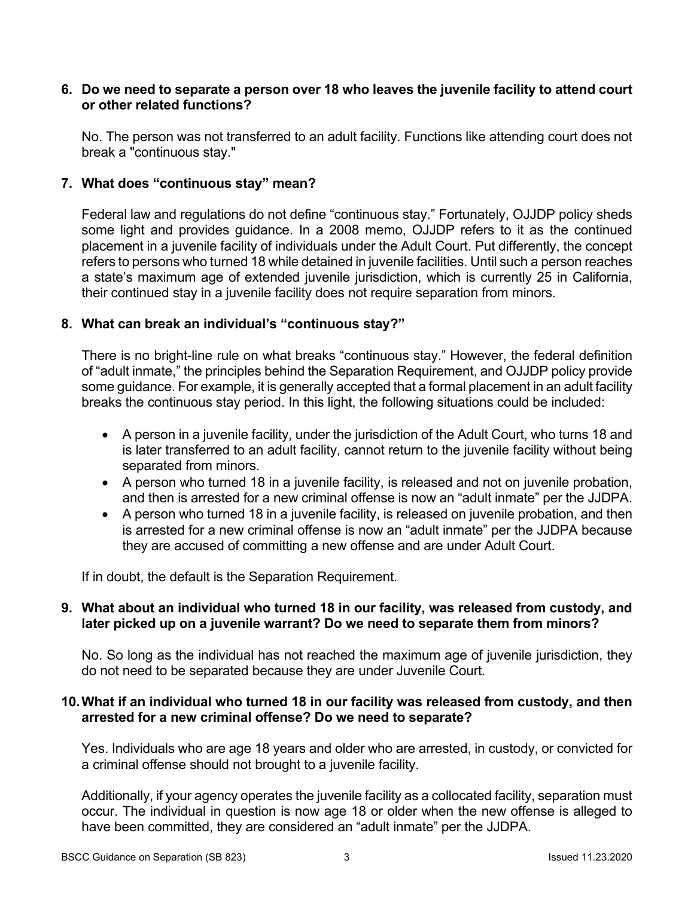#### **6. Do we need to separate a person over 18 who leaves the juvenile facility to attend court or other related functions?**

No. The person was not transferred to an adult facility. Functions like attending court does not break a "continuous stay."

#### **7. What does "continuous stay" mean?**

Federal law and regulations do not define "continuous stay." Fortunately, OJJDP policy sheds some light and provides guidance. In a 2008 memo, OJJDP refers to it as the continued placement in a juvenile facility of individuals under the Adult Court. Put differently, the concept refers to persons who turned 18 while detained in juvenile facilities. Until such a person reaches a state's maximum age of extended juvenile jurisdiction, which is currently 25 in California, their continued stay in a juvenile facility does not require separation from minors.

#### **8. What can break an individual's "continuous stay?"**

There is no bright-line rule on what breaks "continuous stay." However, the federal definition of "adult inmate," the principles behind the Separation Requirement, and OJJDP policy provide some guidance. For example, it is generally accepted that a formal placement in an adult facility breaks the continuous stay period. In this light, the following situations could be included:

- A person in a juvenile facility, under the jurisdiction of the Adult Court, who turns 18 and is later transferred to an adult facility, cannot return to the juvenile facility without being separated from minors.
- A person who turned 18 in a juvenile facility, is released and not on juvenile probation, and then is arrested for a new criminal offense is now an "adult inmate" per the JJDPA.
- A person who turned 18 in a juvenile facility, is released on juvenile probation, and then is arrested for a new criminal offense is now an "adult inmate" per the JJDPA because they are accused of committing a new offense and are under Adult Court.

If in doubt, the default is the Separation Requirement.

#### **9. What about an individual who turned 18 in our facility, was released from custody, and later picked up on a juvenile warrant? Do we need to separate them from minors?**

No. So long as the individual has not reached the maximum age of juvenile jurisdiction, they do not need to be separated because they are under Juvenile Court.

#### **10.What if an individual who turned 18 in our facility was released from custody, and then arrested for a new criminal offense? Do we need to separate?**

Yes. Individuals who are age 18 years and older who are arrested, in custody, or convicted for a criminal offense should not brought to a juvenile facility.

Additionally, if your agency operates the juvenile facility as a collocated facility, separation must occur. The individual in question is now age 18 or older when the new offense is alleged to have been committed, they are considered an "adult inmate" per the JJDPA.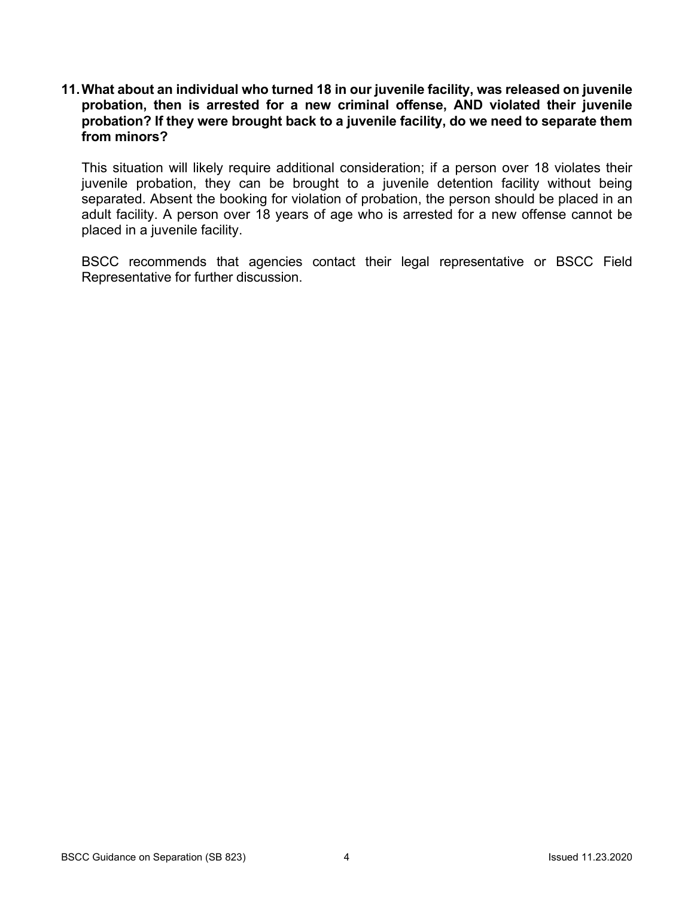**11.What about an individual who turned 18 in our juvenile facility, was released on juvenile probation, then is arrested for a new criminal offense, AND violated their juvenile probation? If they were brought back to a juvenile facility, do we need to separate them from minors?**

This situation will likely require additional consideration; if a person over 18 violates their juvenile probation, they can be brought to a juvenile detention facility without being separated. Absent the booking for violation of probation, the person should be placed in an adult facility. A person over 18 years of age who is arrested for a new offense cannot be placed in a juvenile facility.

BSCC recommends that agencies contact their legal representative or BSCC Field Representative for further discussion.